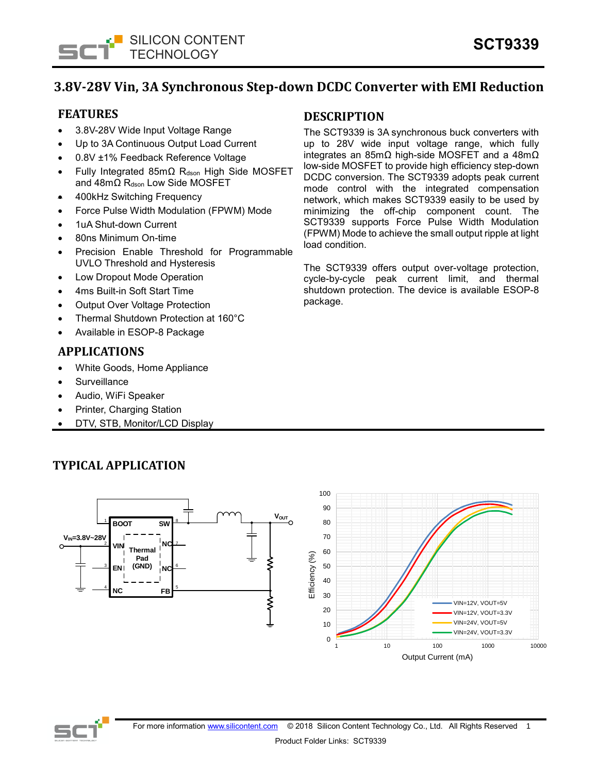

# **3.8V-28V Vin, 3A Synchronous Step-down DCDC Converter with EMI Reduction**

## **FEATURES**

- 3.8V-28V Wide Input Voltage Range
- Up to 3A Continuous Output Load Current
- 0.8V ±1% Feedback Reference Voltage
- Fully Integrated 85mΩ R<sub>dson</sub> High Side MOSFET and 48mΩ Rdson Low Side MOSFET
- 400kHz Switching Frequency
- Force Pulse Width Modulation (FPWM) Mode
- 1uA Shut-down Current
- 80ns Minimum On-time
- Precision Enable Threshold for Programmable UVLO Threshold and Hysteresis
- Low Dropout Mode Operation
- 4ms Built-in Soft Start Time
- **Output Over Voltage Protection**
- Thermal Shutdown Protection at 160°C
- Available in ESOP-8 Package

## **APPLICATIONS**

- White Goods, Home Appliance
- **Surveillance**
- Audio, WiFi Speaker
- Printer, Charging Station
- DTV, STB, Monitor/LCD Display

#### 100 90 80 70 60 Efficiency (%) Efficiency (%) 50 40 30 VIN=12V, VOUT=5V 20 VIN=12V, VOUT=3.3V VIN=24V, VOUT=5V 10 VIN=24V, VOUT=3.3V $\Omega$ 1 10 100 1000 1000 10000 Output Current (mA)

# **TYPICAL APPLICATION**

**BOOT**

**SW**

8

7

6

5

 $V_{\text{OUT}}$   $\begin{bmatrix} V & V & V_{\text{OUT}} \end{bmatrix}$ 

**NC**

**NC**

**FB**

**VIN**

**Thermal Pad (GND)**

2

3

4

**VIN=3.8V~28V**

**EN**

**NC**



## **DESCRIPTION**

The SCT9339 is 3A synchronous buck converters with up to 28V wide input voltage range, which fully integrates an 85mΩ high-side MOSFET and a 48mΩ low-side MOSFET to provide high efficiency step-down DCDC conversion. The SCT9339 adopts peak current mode control with the integrated compensation network, which makes SCT9339 easily to be used by minimizing the off-chip component count. The SCT9339 supports Force Pulse Width Modulation (FPWM) Mode to achieve the small output ripple at light load condition.

The SCT9339 offers output over-voltage protection, cycle-by-cycle peak current limit, and thermal shutdown protection. The device is available ESOP-8 package.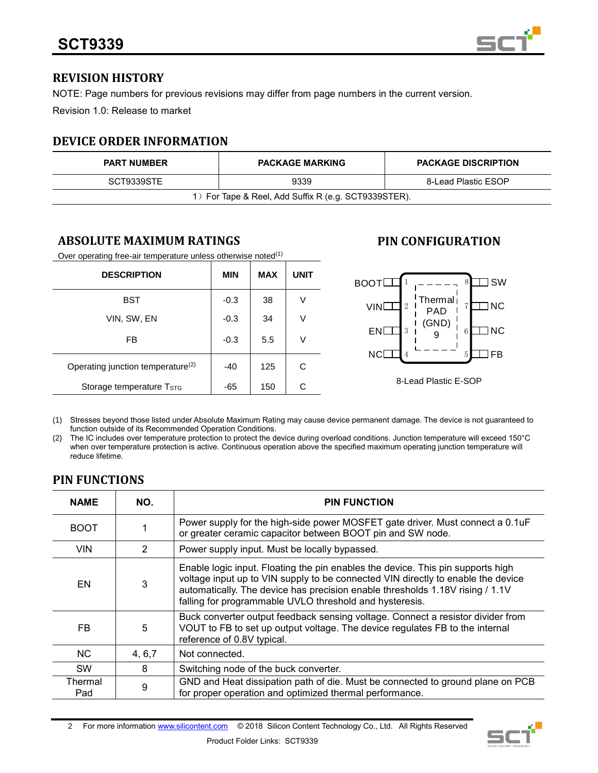

## **REVISION HISTORY**

NOTE: Page numbers for previous revisions may differ from page numbers in the current version.

Revision 1.0: Release to market

# **DEVICE ORDER INFORMATION**

| <b>PART NUMBER</b>                                   | <b>PACKAGE MARKING</b>      | <b>PACKAGE DISCRIPTION</b> |  |  |
|------------------------------------------------------|-----------------------------|----------------------------|--|--|
| SCT9339STE                                           | 9339<br>8-Lead Plastic ESOP |                            |  |  |
| 1) For Tape & Reel, Add Suffix R (e.g. SCT9339STER). |                             |                            |  |  |

# **ABSOLUTE MAXIMUM RATINGS**

Over operating free-air temperature unless otherwise noted $(1)$ 

| <b>DESCRIPTION</b>                            | <b>MIN</b> | <b>MAX</b> | <b>UNIT</b> |
|-----------------------------------------------|------------|------------|-------------|
| <b>BST</b>                                    | $-0.3$     | 38         | ν           |
| VIN, SW, EN                                   | $-0.3$     | 34         | V           |
| FB                                            | $-0.3$     | 5.5        | ٧           |
| Operating junction temperature <sup>(2)</sup> | -40        | 125        | C           |
| Storage temperature T <sub>STG</sub>          | -65        | 150        | C           |

# **PIN CONFIGURATION**



(1) Stresses beyond those listed under Absolute Maximum Rating may cause device permanent damage. The device is not guaranteed to function outside of its Recommended Operation Conditions.

(2) The IC includes over temperature protection to protect the device during overload conditions. Junction temperature will exceed 150°C when over temperature protection is active. Continuous operation above the specified maximum operating junction temperature will reduce lifetime.

# **PIN FUNCTIONS**

| <b>NAME</b>    | NO.           | <b>PIN FUNCTION</b>                                                                                                                                                                                                                                                                                             |
|----------------|---------------|-----------------------------------------------------------------------------------------------------------------------------------------------------------------------------------------------------------------------------------------------------------------------------------------------------------------|
| <b>BOOT</b>    |               | Power supply for the high-side power MOSFET gate driver. Must connect a 0.1uF<br>or greater ceramic capacitor between BOOT pin and SW node.                                                                                                                                                                     |
| <b>VIN</b>     | $\mathcal{P}$ | Power supply input. Must be locally bypassed.                                                                                                                                                                                                                                                                   |
| EN             | 3             | Enable logic input. Floating the pin enables the device. This pin supports high<br>voltage input up to VIN supply to be connected VIN directly to enable the device<br>automatically. The device has precision enable thresholds 1.18V rising / 1.1V<br>falling for programmable UVLO threshold and hysteresis. |
| FB             | 5             | Buck converter output feedback sensing voltage. Connect a resistor divider from<br>VOUT to FB to set up output voltage. The device regulates FB to the internal<br>reference of 0.8V typical.                                                                                                                   |
| NC.            | 4, 6, 7       | Not connected.                                                                                                                                                                                                                                                                                                  |
| <b>SW</b>      | 8             | Switching node of the buck converter.                                                                                                                                                                                                                                                                           |
| Thermal<br>Pad | 9             | GND and Heat dissipation path of die. Must be connected to ground plane on PCB<br>for proper operation and optimized thermal performance.                                                                                                                                                                       |

2 For more informatio[n www.silicontent.com](http://www.silicontent.com/) © 2018 Silicon Content Technology Co., Ltd. All Rights Reserved

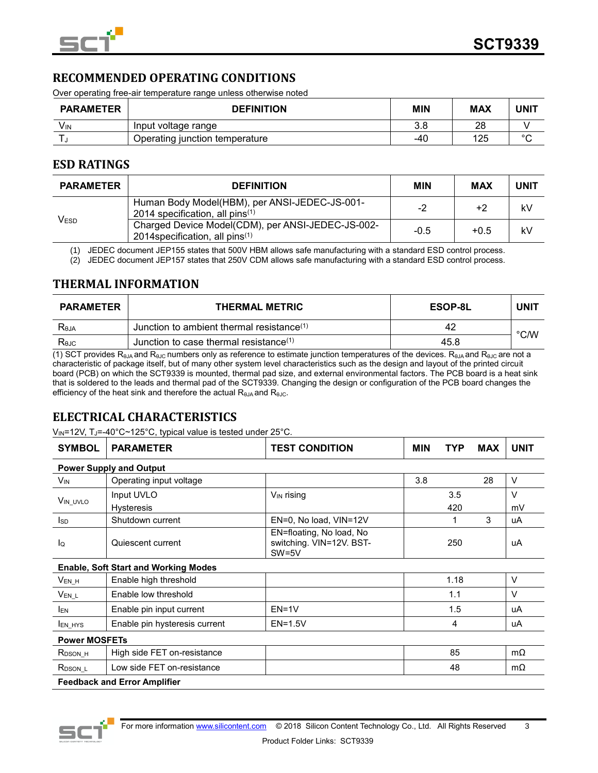

## **RECOMMENDED OPERATING CONDITIONS**

Over operating free-air temperature range unless otherwise noted

| <b>PARAMETER</b> | <b>DEFINITION</b>              | MIN | MAX | <b>UNIT</b> |
|------------------|--------------------------------|-----|-----|-------------|
| Vın              | Input voltage range            | 3.8 | 28  |             |
|                  | Operating junction temperature | -40 | 125 | $\circ$     |

## **ESD RATINGS**

| <b>PARAMETER</b> | <b>DEFINITION</b>                                                                                | <b>MIN</b> | MAX    | <b>UNIT</b> |
|------------------|--------------------------------------------------------------------------------------------------|------------|--------|-------------|
| <b>VESD</b>      | Human Body Model(HBM), per ANSI-JEDEC-JS-001-<br>2014 specification, all pins $(1)$              | $-2$       | +2     | kV          |
|                  | Charged Device Model(CDM), per ANSI-JEDEC-JS-002-<br>2014 specification, all pins <sup>(1)</sup> | $-0.5$     | $+0.5$ | kV          |

(1) JEDEC document JEP155 states that 500V HBM allows safe manufacturing with a standard ESD control process.

(2) JEDEC document JEP157 states that 250V CDM allows safe manufacturing with a standard ESD control process.

## **THERMAL INFORMATION**

| <b>PARAMETER</b> | <b>THERMAL METRIC</b>                        | ESOP-8L | <b>UNI1</b>   |
|------------------|----------------------------------------------|---------|---------------|
| Reja             | Junction to ambient thermal resistance $(1)$ | 42      | $\degree$ C/W |
| Rejc             | Junction to case thermal resistance $(1)$    | 45.8    |               |

(1) SCT provides R<sub>θJA</sub> and R<sub>θJC</sub> numbers only as reference to estimate junction temperatures of the devices. R<sub>θJA</sub> and R<sub>θJC</sub> are not a characteristic of package itself, but of many other system level characteristics such as the design and layout of the printed circuit board (PCB) on which the SCT9339 is mounted, thermal pad size, and external environmental factors. The PCB board is a heat sink that is soldered to the leads and thermal pad of the SCT9339. Changing the design or configuration of the PCB board changes the efficiency of the heat sink and therefore the actual  $R_{\theta JA}$  and  $R_{\theta JC}$ .

# **ELECTRICAL CHARACTERISTICS**

V<sub>IN</sub>=12V, TJ=-40°C~125°C, typical value is tested under 25°C.

| <b>SYMBOL</b>                  | <b>PARAMETER</b>                            | <b>TEST CONDITION</b><br><b>MIN</b><br>TYP                      |     | <b>MAX</b> | <b>UNIT</b> |        |
|--------------------------------|---------------------------------------------|-----------------------------------------------------------------|-----|------------|-------------|--------|
| <b>Power Supply and Output</b> |                                             |                                                                 |     |            |             |        |
| $V_{IN}$                       | Operating input voltage                     |                                                                 | 3.8 |            | 28          | $\vee$ |
| V <sub>IN_UVLO</sub>           | Input UVLO                                  | V <sub>IN</sub> rising                                          |     | 3.5        |             | $\vee$ |
|                                | <b>Hysteresis</b>                           |                                                                 |     | 420        |             | mV     |
| <b>I</b> sp                    | Shutdown current                            | EN=0, No load, VIN=12V                                          |     | 1          | 3           | uA     |
| lo                             | Quiescent current                           | EN=floating, No load, No<br>switching. VIN=12V. BST-<br>$SW=5V$ |     | 250        |             | uA     |
|                                | <b>Enable, Soft Start and Working Modes</b> |                                                                 |     |            |             |        |
| $V_{EN_H}$                     | Enable high threshold                       |                                                                 |     | 1.18       |             | $\vee$ |
| $V_{EN\_L}$                    | Enable low threshold                        |                                                                 |     | 1.1        |             | $\vee$ |
| <b>IEN</b>                     | Enable pin input current                    | $EN=1V$                                                         |     | 1.5        |             | uA     |
| <b>IEN_HYS</b>                 | Enable pin hysteresis current               | $EN=1.5V$                                                       |     | 4          |             | uA     |
| <b>Power MOSFETs</b>           |                                             |                                                                 |     |            |             |        |
| $R_{DSON_H}$                   | High side FET on-resistance                 |                                                                 |     | 85         |             | mΩ     |
| R <sub>DSON_L</sub>            | Low side FET on-resistance                  |                                                                 |     | 48         |             | mΩ     |
|                                | <b>Feedback and Error Amplifier</b>         |                                                                 |     |            |             |        |

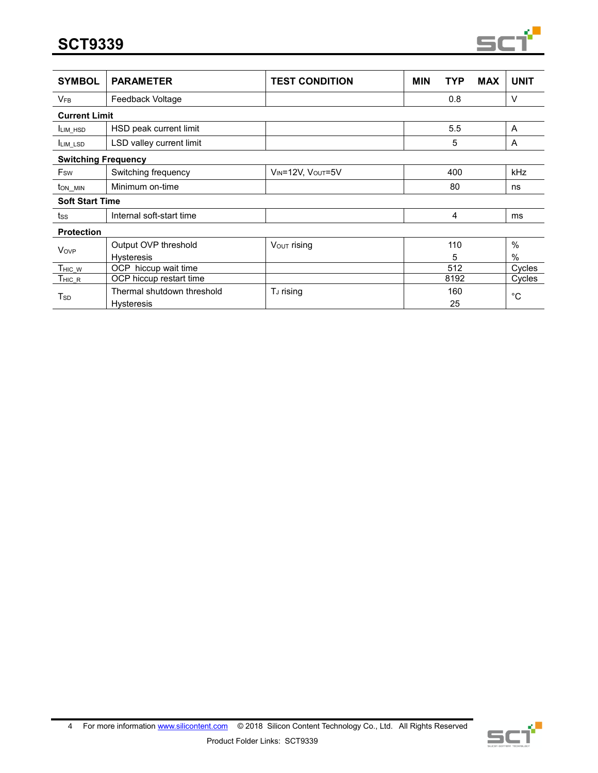

| <b>SYMBOL</b>              | <b>PARAMETER</b>           | <b>TEST CONDITION</b> | <b>MIN</b><br>TYP | <b>MAX</b> | <b>UNIT</b>   |
|----------------------------|----------------------------|-----------------------|-------------------|------------|---------------|
| <b>V<sub>FB</sub></b>      | Feedback Voltage           |                       | 0.8               |            | $\vee$        |
| <b>Current Limit</b>       |                            |                       |                   |            |               |
| <b>ILIM HSD</b>            | HSD peak current limit     |                       | 5.5               |            | A             |
| <b>I</b> LIM_LSD           | LSD valley current limit   |                       | 5                 |            | A             |
| <b>Switching Frequency</b> |                            |                       |                   |            |               |
| Fsw                        | Switching frequency        | VIN=12V, VOUT=5V      | 400               |            | <b>kHz</b>    |
| $t_{ON\_MIN}$              | Minimum on-time            |                       | 80                |            | ns            |
| <b>Soft Start Time</b>     |                            |                       |                   |            |               |
| tss                        | Internal soft-start time   |                       | 4                 |            | ms            |
| <b>Protection</b>          |                            |                       |                   |            |               |
| Vove                       | Output OVP threshold       | Vout rising           | 110               |            | $\frac{0}{0}$ |
|                            | <b>Hysteresis</b>          |                       | 5                 |            | $\frac{0}{0}$ |
| THIC_W                     | OCP hiccup wait time       |                       | 512               |            | Cycles        |
| THIC R                     | OCP hiccup restart time    |                       | 8192              |            | Cycles        |
| $T_{SD}$                   | Thermal shutdown threshold | T <sub>J</sub> rising | 160               |            | °С            |
|                            | <b>Hysteresis</b>          |                       | 25                |            |               |

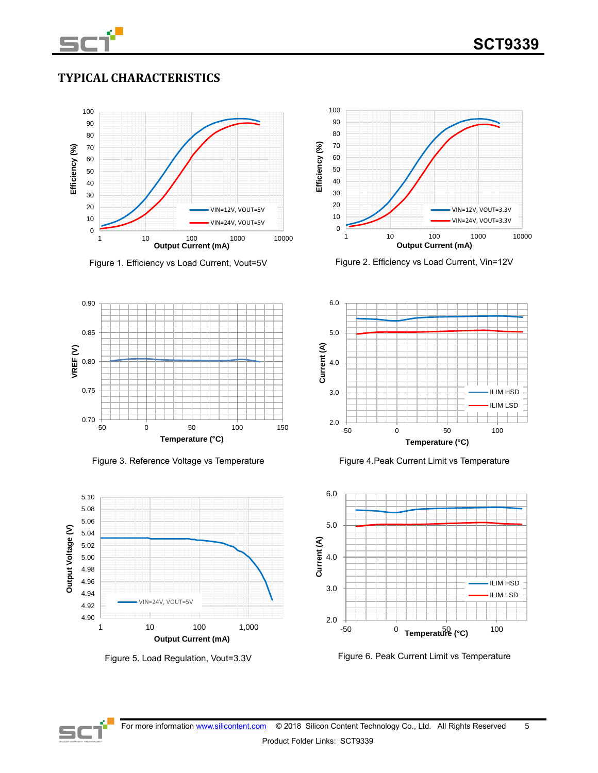

# **TYPICAL CHARACTERISTICS**



Figure 1. Efficiency vs Load Current, Vout=5V Figure 2. Efficiency vs Load Current, Vin=12V





Figure 3. Reference Voltage vs Temperature Figure 4. Peak Current Limit vs Temperature







Figure 5. Load Regulation, Vout=3.3V Figure 6. Peak Current Limit vs Temperature

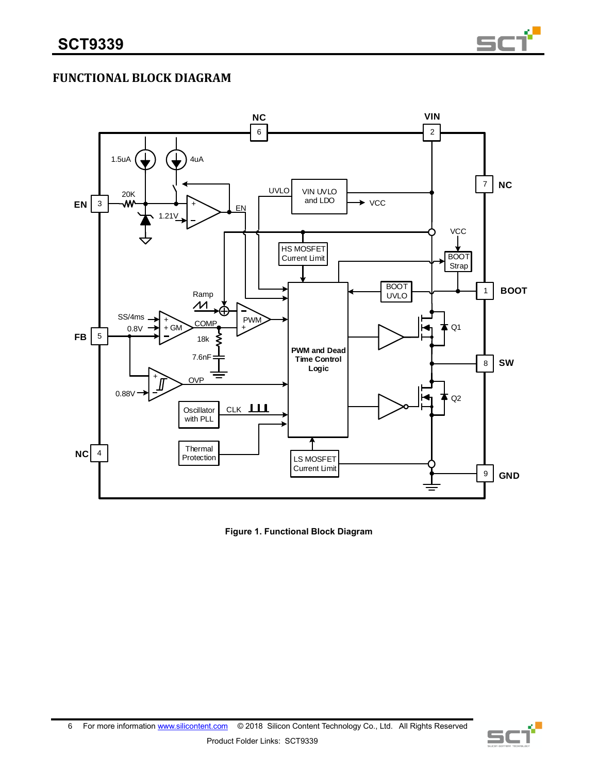

# **FUNCTIONAL BLOCK DIAGRAM**



**Figure 1. Functional Block Diagram**

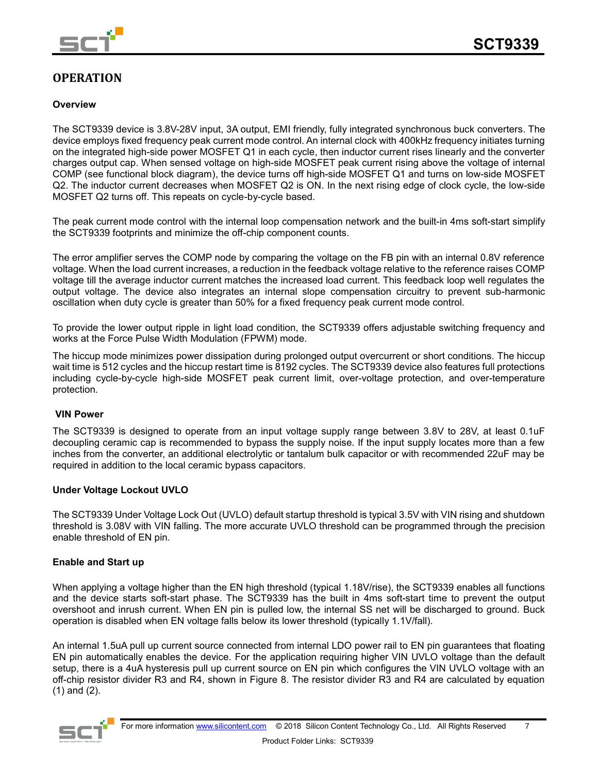

# **OPERATION**

### **Overview**

The SCT9339 device is 3.8V-28V input, 3A output, EMI friendly, fully integrated synchronous buck converters. The device employs fixed frequency peak current mode control. An internal clock with 400kHz frequency initiates turning on the integrated high-side power MOSFET Q1 in each cycle, then inductor current rises linearly and the converter charges output cap. When sensed voltage on high-side MOSFET peak current rising above the voltage of internal COMP (see functional block diagram), the device turns off high-side MOSFET Q1 and turns on low-side MOSFET Q2. The inductor current decreases when MOSFET Q2 is ON. In the next rising edge of clock cycle, the low-side MOSFET Q2 turns off. This repeats on cycle-by-cycle based.

The peak current mode control with the internal loop compensation network and the built-in 4ms soft-start simplify the SCT9339 footprints and minimize the off-chip component counts.

The error amplifier serves the COMP node by comparing the voltage on the FB pin with an internal 0.8V reference voltage. When the load current increases, a reduction in the feedback voltage relative to the reference raises COMP voltage till the average inductor current matches the increased load current. This feedback loop well regulates the output voltage. The device also integrates an internal slope compensation circuitry to prevent sub-harmonic oscillation when duty cycle is greater than 50% for a fixed frequency peak current mode control.

To provide the lower output ripple in light load condition, the SCT9339 offers adjustable switching frequency and works at the Force Pulse Width Modulation (FPWM) mode.

The hiccup mode minimizes power dissipation during prolonged output overcurrent or short conditions. The hiccup wait time is 512 cycles and the hiccup restart time is 8192 cycles. The SCT9339 device also features full protections including cycle-by-cycle high-side MOSFET peak current limit, over-voltage protection, and over-temperature protection.

### **VIN Power**

The SCT9339 is designed to operate from an input voltage supply range between 3.8V to 28V, at least 0.1uF decoupling ceramic cap is recommended to bypass the supply noise. If the input supply locates more than a few inches from the converter, an additional electrolytic or tantalum bulk capacitor or with recommended 22uF may be required in addition to the local ceramic bypass capacitors.

#### **Under Voltage Lockout UVLO**

The SCT9339 Under Voltage Lock Out (UVLO) default startup threshold is typical 3.5V with VIN rising and shutdown threshold is 3.08V with VIN falling. The more accurate UVLO threshold can be programmed through the precision enable threshold of EN pin.

### **Enable and Start up**

When applying a voltage higher than the EN high threshold (typical 1.18V/rise), the SCT9339 enables all functions and the device starts soft-start phase. The SCT9339 has the built in 4ms soft-start time to prevent the output overshoot and inrush current. When EN pin is pulled low, the internal SS net will be discharged to ground. Buck operation is disabled when EN voltage falls below its lower threshold (typically 1.1V/fall).

An internal 1.5uA pull up current source connected from internal LDO power rail to EN pin guarantees that floating EN pin automatically enables the device. For the application requiring higher VIN UVLO voltage than the default setup, there is a 4uA hysteresis pull up current source on EN pin which configures the VIN UVLO voltage with an off-chip resistor divider R3 and R4, shown in Figure 8. The resistor divider R3 and R4 are calculated by equation (1) and (2).

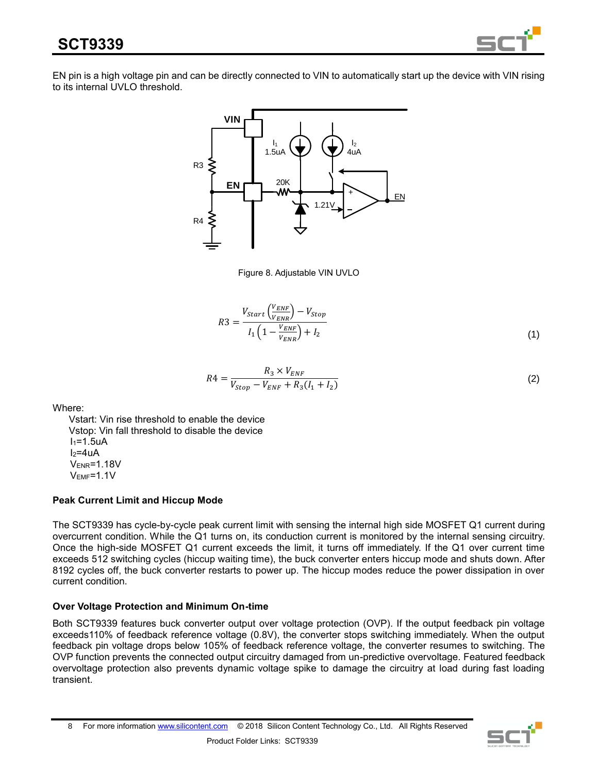

EN pin is a high voltage pin and can be directly connected to VIN to automatically start up the device with VIN rising to its internal UVLO threshold.



Figure 8. Adjustable VIN UVLO

$$
R3 = \frac{V_{Start}\left(\frac{V_{ENF}}{V_{ENR}}\right) - V_{Stop}}{I_1\left(1 - \frac{V_{ENF}}{V_{ENR}}\right) + I_2}
$$
\n(1)

$$
R4 = \frac{R_3 \times V_{ENF}}{V_{Stop} - V_{ENF} + R_3(I_1 + I_2)}
$$
\n(2)

Where:

 Vstart: Vin rise threshold to enable the device Vstop: Vin fall threshold to disable the device  $I_1=1.5uA$  $I_2=4uA$ VENR=1.18V VEMF=1.1V

## **Peak Current Limit and Hiccup Mode**

The SCT9339 has cycle-by-cycle peak current limit with sensing the internal high side MOSFET Q1 current during overcurrent condition. While the Q1 turns on, its conduction current is monitored by the internal sensing circuitry. Once the high-side MOSFET Q1 current exceeds the limit, it turns off immediately. If the Q1 over current time exceeds 512 switching cycles (hiccup waiting time), the buck converter enters hiccup mode and shuts down. After 8192 cycles off, the buck converter restarts to power up. The hiccup modes reduce the power dissipation in over current condition.

## **Over Voltage Protection and Minimum On-time**

Both SCT9339 features buck converter output over voltage protection (OVP). If the output feedback pin voltage exceeds110% of feedback reference voltage (0.8V), the converter stops switching immediately. When the output feedback pin voltage drops below 105% of feedback reference voltage, the converter resumes to switching. The OVP function prevents the connected output circuitry damaged from un-predictive overvoltage. Featured feedback overvoltage protection also prevents dynamic voltage spike to damage the circuitry at load during fast loading transient.

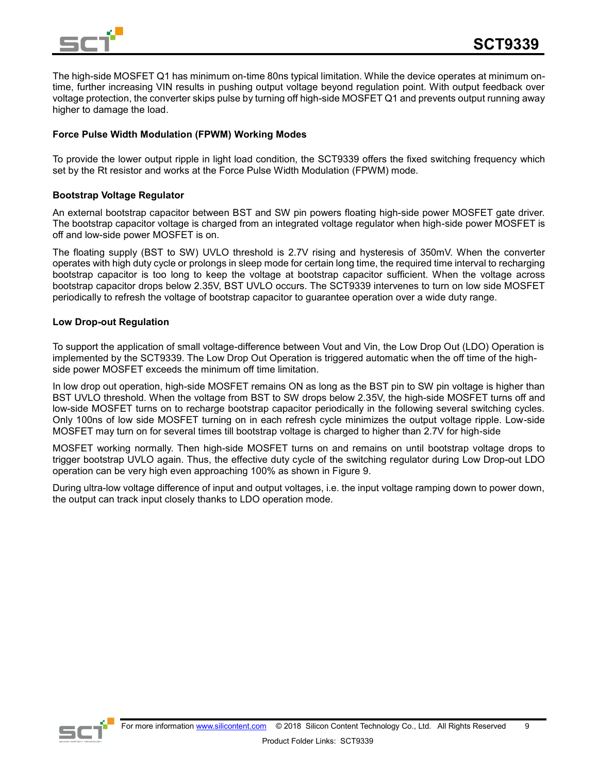

The high-side MOSFET Q1 has minimum on-time 80ns typical limitation. While the device operates at minimum ontime, further increasing VIN results in pushing output voltage beyond regulation point. With output feedback over voltage protection, the converter skips pulse by turning off high-side MOSFET Q1 and prevents output running away higher to damage the load.

### **Force Pulse Width Modulation (FPWM) Working Modes**

To provide the lower output ripple in light load condition, the SCT9339 offers the fixed switching frequency which set by the Rt resistor and works at the Force Pulse Width Modulation (FPWM) mode.

#### **Bootstrap Voltage Regulator**

An external bootstrap capacitor between BST and SW pin powers floating high-side power MOSFET gate driver. The bootstrap capacitor voltage is charged from an integrated voltage regulator when high-side power MOSFET is off and low-side power MOSFET is on.

The floating supply (BST to SW) UVLO threshold is 2.7V rising and hysteresis of 350mV. When the converter operates with high duty cycle or prolongs in sleep mode for certain long time, the required time interval to recharging bootstrap capacitor is too long to keep the voltage at bootstrap capacitor sufficient. When the voltage across bootstrap capacitor drops below 2.35V, BST UVLO occurs. The SCT9339 intervenes to turn on low side MOSFET periodically to refresh the voltage of bootstrap capacitor to guarantee operation over a wide duty range.

#### **Low Drop-out Regulation**

To support the application of small voltage-difference between Vout and Vin, the Low Drop Out (LDO) Operation is implemented by the SCT9339. The Low Drop Out Operation is triggered automatic when the off time of the highside power MOSFET exceeds the minimum off time limitation.

In low drop out operation, high-side MOSFET remains ON as long as the BST pin to SW pin voltage is higher than BST UVLO threshold. When the voltage from BST to SW drops below 2.35V, the high-side MOSFET turns off and low-side MOSFET turns on to recharge bootstrap capacitor periodically in the following several switching cycles. Only 100ns of low side MOSFET turning on in each refresh cycle minimizes the output voltage ripple. Low-side MOSFET may turn on for several times till bootstrap voltage is charged to higher than 2.7V for high-side

MOSFET working normally. Then high-side MOSFET turns on and remains on until bootstrap voltage drops to trigger bootstrap UVLO again. Thus, the effective duty cycle of the switching regulator during Low Drop-out LDO operation can be very high even approaching 100% as shown in Figure 9.

During ultra-low voltage difference of input and output voltages, i.e. the input voltage ramping down to power down, the output can track input closely thanks to LDO operation mode.

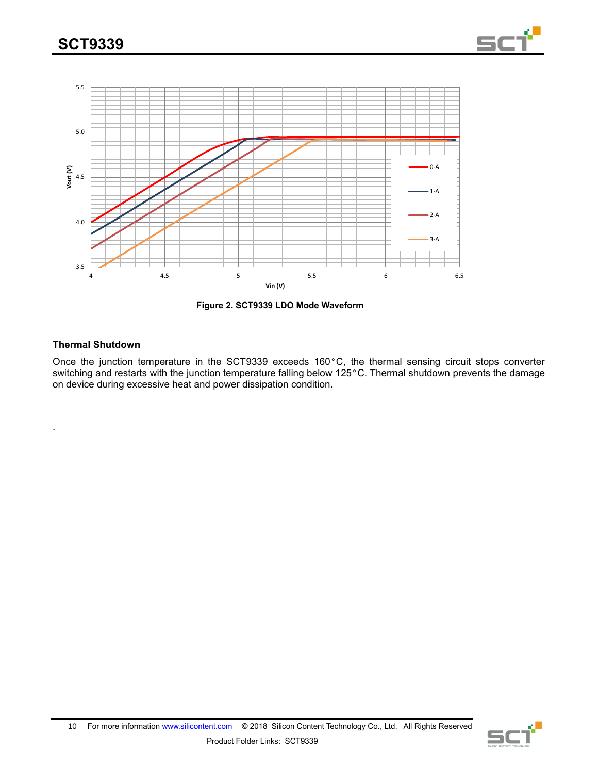



**Figure 2. SCT9339 LDO Mode Waveform**

#### **Thermal Shutdown**

.

Once the junction temperature in the SCT9339 exceeds 160°C, the thermal sensing circuit stops converter switching and restarts with the junction temperature falling below 125°C. Thermal shutdown prevents the damage on device during excessive heat and power dissipation condition.

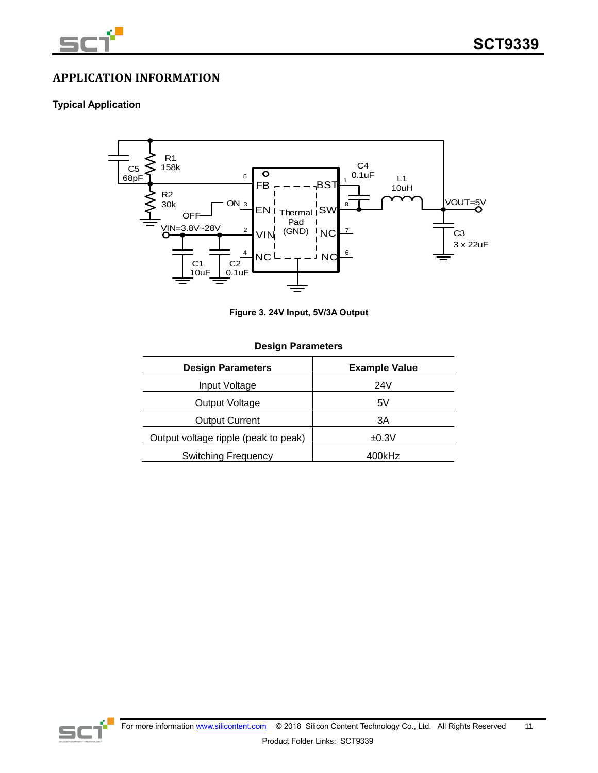

# **APPLICATION INFORMATION**

### **Typical Application**



**Figure 3. 24V Input, 5V/3A Output**

#### **Design Parameters**

| <b>Design Parameters</b>             | <b>Example Value</b> |
|--------------------------------------|----------------------|
| Input Voltage                        | 24V                  |
| Output Voltage                       | 5V                   |
| <b>Output Current</b>                | ЗA                   |
| Output voltage ripple (peak to peak) | ±0.3V                |
| <b>Switching Frequency</b>           | 400kHz               |

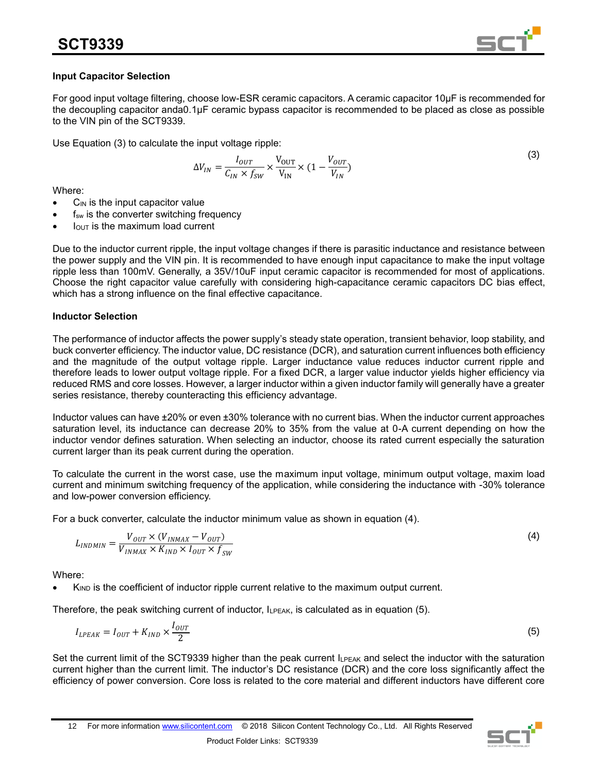

### **Input Capacitor Selection**

For good input voltage filtering, choose low-ESR ceramic capacitors. A ceramic capacitor 10μF is recommended for the decoupling capacitor anda0.1μF ceramic bypass capacitor is recommended to be placed as close as possible to the VIN pin of the SCT9339.

Use Equation (3) to calculate the input voltage ripple:

$$
\Delta V_{IN} = \frac{I_{OUT}}{C_{IN} \times f_{SW}} \times \frac{V_{OUT}}{V_{IN}} \times (1 - \frac{V_{OUT}}{V_{IN}})
$$
\n(3)

Where:

- $C_{\text{IN}}$  is the input capacitor value
- $f_{sw}$  is the converter switching frequency
- $I<sub>OUT</sub>$  is the maximum load current

Due to the inductor current ripple, the input voltage changes if there is parasitic inductance and resistance between the power supply and the VIN pin. It is recommended to have enough input capacitance to make the input voltage ripple less than 100mV. Generally, a 35V/10uF input ceramic capacitor is recommended for most of applications. Choose the right capacitor value carefully with considering high-capacitance ceramic capacitors DC bias effect, which has a strong influence on the final effective capacitance.

### **Inductor Selection**

The performance of inductor affects the power supply's steady state operation, transient behavior, loop stability, and buck converter efficiency. The inductor value, DC resistance (DCR), and saturation current influences both efficiency and the magnitude of the output voltage ripple. Larger inductance value reduces inductor current ripple and therefore leads to lower output voltage ripple. For a fixed DCR, a larger value inductor yields higher efficiency via reduced RMS and core losses. However, a larger inductor within a given inductor family will generally have a greater series resistance, thereby counteracting this efficiency advantage.

Inductor values can have ±20% or even ±30% tolerance with no current bias. When the inductor current approaches saturation level, its inductance can decrease 20% to 35% from the value at 0-A current depending on how the inductor vendor defines saturation. When selecting an inductor, choose its rated current especially the saturation current larger than its peak current during the operation.

To calculate the current in the worst case, use the maximum input voltage, minimum output voltage, maxim load current and minimum switching frequency of the application, while considering the inductance with -30% tolerance and low-power conversion efficiency.

For a buck converter, calculate the inductor minimum value as shown in equation (4).

$$
L_{INDMIN} = \frac{V_{OUT} \times (V_{INMAX} - V_{OUT})}{V_{INMAX} \times K_{IND} \times I_{OUT} \times f_{SW}}
$$
(4)

Where:

K<sub>IND</sub> is the coefficient of inductor ripple current relative to the maximum output current.

Therefore, the peak switching current of inductor, ILPEAK, is calculated as in equation (5).

$$
I_{LPEAK} = I_{OUT} + K_{IND} \times \frac{I_{OUT}}{2}
$$
 (5)

Set the current limit of the SCT9339 higher than the peak current I<sub>LPEAK</sub> and select the inductor with the saturation current higher than the current limit. The inductor's DC resistance (DCR) and the core loss significantly affect the efficiency of power conversion. Core loss is related to the core material and different inductors have different core

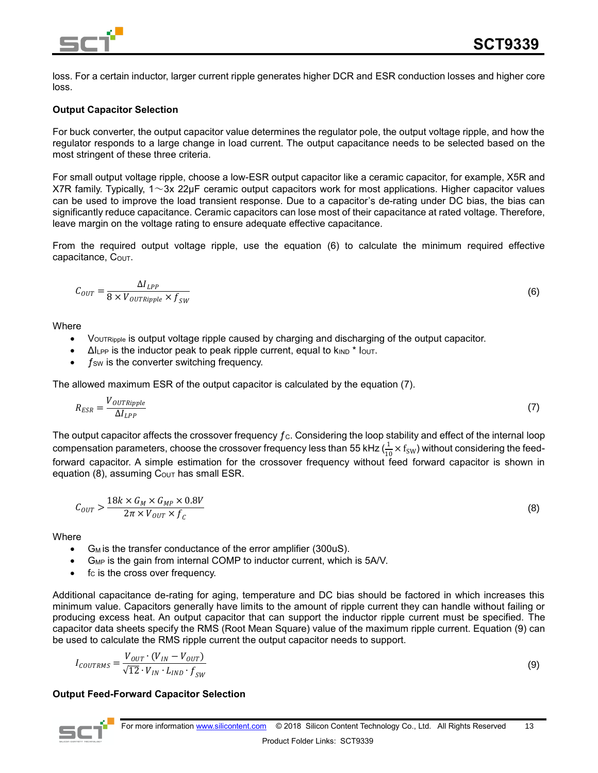

loss. For a certain inductor, larger current ripple generates higher DCR and ESR conduction losses and higher core loss.

### **Output Capacitor Selection**

For buck converter, the output capacitor value determines the regulator pole, the output voltage ripple, and how the regulator responds to a large change in load current. The output capacitance needs to be selected based on the most stringent of these three criteria.

For small output voltage ripple, choose a low-ESR output capacitor like a ceramic capacitor, for example, X5R and X7R family. Typically,  $1 \sim 3x$  22µF ceramic output capacitors work for most applications. Higher capacitor values can be used to improve the load transient response. Due to a capacitor's de-rating under DC bias, the bias can significantly reduce capacitance. Ceramic capacitors can lose most of their capacitance at rated voltage. Therefore, leave margin on the voltage rating to ensure adequate effective capacitance.

From the required output voltage ripple, use the equation (6) to calculate the minimum required effective  $capacitance, C<sub>OUT</sub>.$ 

$$
C_{OUT} = \frac{\Delta I_{LPP}}{8 \times V_{OUTRipple} \times f_{SW}}\tag{6}
$$

**Where** 

- VOUTRipple is output voltage ripple caused by charging and discharging of the output capacitor.
- $\Delta l_{\text{LPP}}$  is the inductor peak to peak ripple current, equal to  $k_{\text{IND}}$  \*  $l_{\text{OUT}}$ .
- $f_{SW}$  is the converter switching frequency.

The allowed maximum ESR of the output capacitor is calculated by the equation (7).

$$
R_{ESR} = \frac{V_{OUTRipple}}{\Delta I_{LPP}}\tag{7}
$$

The output capacitor affects the crossover frequency  $f_c$ . Considering the loop stability and effect of the internal loop compensation parameters, choose the crossover frequency less than 55 kHz ( $\frac{1}{10}\times f_{\rm SW}$ ) without considering the feedforward capacitor. A simple estimation for the crossover frequency without feed forward capacitor is shown in equation (8), assuming  $C_{\text{OUT}}$  has small ESR.

$$
C_{OUT} > \frac{18k \times G_M \times G_{MP} \times 0.8V}{2\pi \times V_{OUT} \times f_c}
$$
\n(8)

**Where** 

- $G_M$  is the transfer conductance of the error amplifier (300uS).
- G<sub>MP</sub> is the gain from internal COMP to inductor current, which is 5A/V.
- $f_c$  is the cross over frequency.

Additional capacitance de-rating for aging, temperature and DC bias should be factored in which increases this minimum value. Capacitors generally have limits to the amount of ripple current they can handle without failing or producing excess heat. An output capacitor that can support the inductor ripple current must be specified. The capacitor data sheets specify the RMS (Root Mean Square) value of the maximum ripple current. Equation (9) can be used to calculate the RMS ripple current the output capacitor needs to support.

$$
I_{COUNTRMS} = \frac{V_{OUT} \cdot (V_{IN} - V_{OUT})}{\sqrt{12} \cdot V_{IN} \cdot L_{IND} \cdot f_{SW}}
$$

#### **Output Feed-Forward Capacitor Selection**



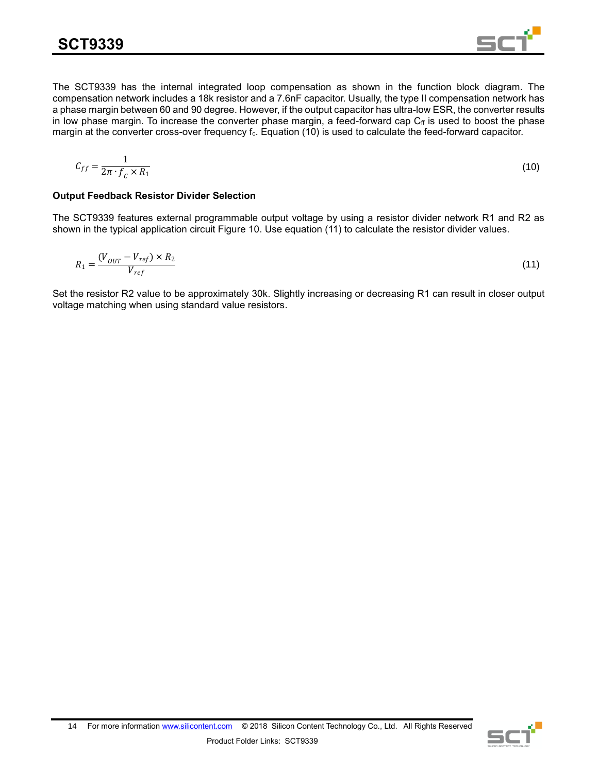The SCT9339 has the internal integrated loop compensation as shown in the function block diagram. The compensation network includes a 18k resistor and a 7.6nF capacitor. Usually, the type II compensation network has a phase margin between 60 and 90 degree. However, if the output capacitor has ultra-low ESR, the converter results in low phase margin. To increase the converter phase margin, a feed-forward cap  $C_f$  is used to boost the phase margin at the converter cross-over frequency f<sub>c</sub>. Equation (10) is used to calculate the feed-forward capacitor.

$$
C_{ff} = \frac{1}{2\pi \cdot f_c \times R_1} \tag{10}
$$

### **Output Feedback Resistor Divider Selection**

The SCT9339 features external programmable output voltage by using a resistor divider network R1 and R2 as shown in the typical application circuit Figure 10. Use equation (11) to calculate the resistor divider values.

$$
R_1 = \frac{(V_{OUT} - V_{ref}) \times R_2}{V_{ref}} \tag{11}
$$

Set the resistor R2 value to be approximately 30k. Slightly increasing or decreasing R1 can result in closer output voltage matching when using standard value resistors.

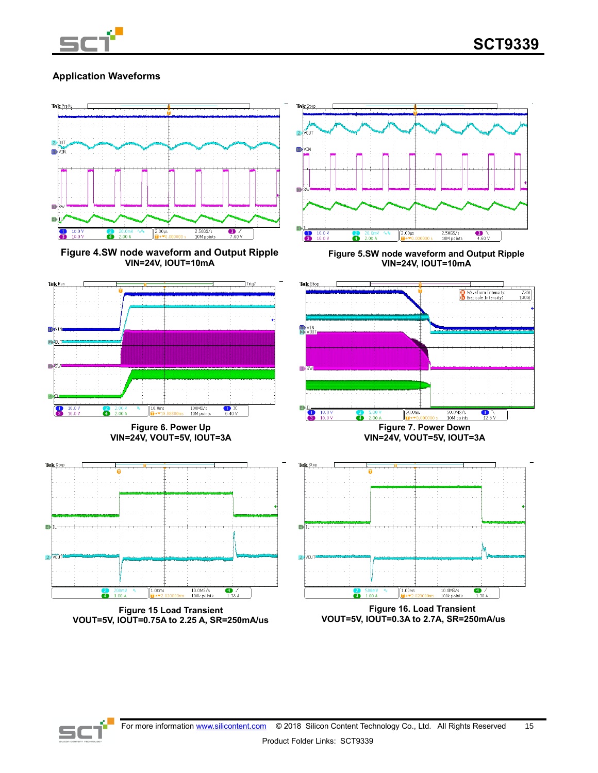

## **Application Waveforms**



**Figure 4.SW node waveform and Output Ripple VIN=24V, IOUT=10mA**



**Figure 5.SW node waveform and Output Ripple VIN=24V, IOUT=10mA**



**Figure 15 Load Transient VOUT=5V, IOUT=0.75A to 2.25 A, SR=250mA/us**

**Figure 16. Load Transient VOUT=5V, IOUT=0.3A to 2.7A, SR=250mA/us**

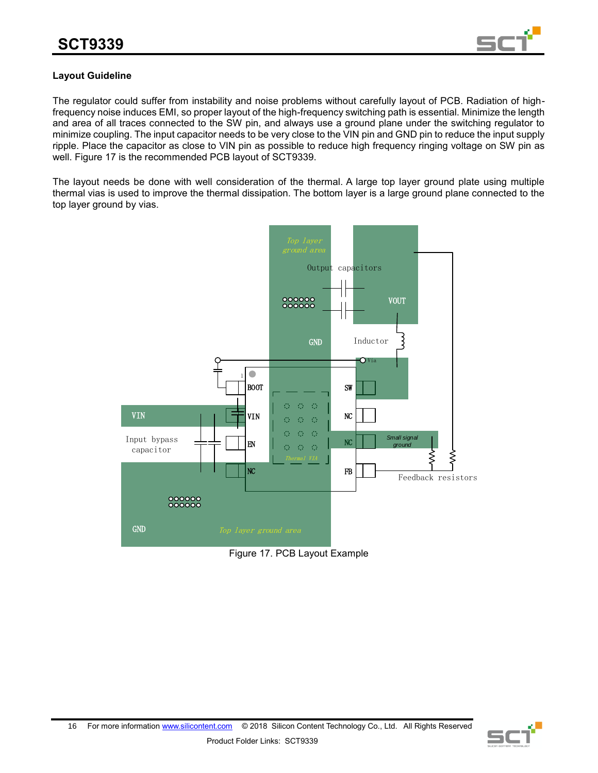

## **Layout Guideline**

The regulator could suffer from instability and noise problems without carefully layout of PCB. Radiation of highfrequency noise induces EMI, so proper layout of the high-frequency switching path is essential. Minimize the length and area of all traces connected to the SW pin, and always use a ground plane under the switching regulator to minimize coupling. The input capacitor needs to be very close to the VIN pin and GND pin to reduce the input supply ripple. Place the capacitor as close to VIN pin as possible to reduce high frequency ringing voltage on SW pin as well. Figure 17 is the recommended PCB layout of SCT9339.

The layout needs be done with well consideration of the thermal. A large top layer ground plate using multiple thermal vias is used to improve the thermal dissipation. The bottom layer is a large ground plane connected to the top layer ground by vias.



Figure 17. PCB Layout Example

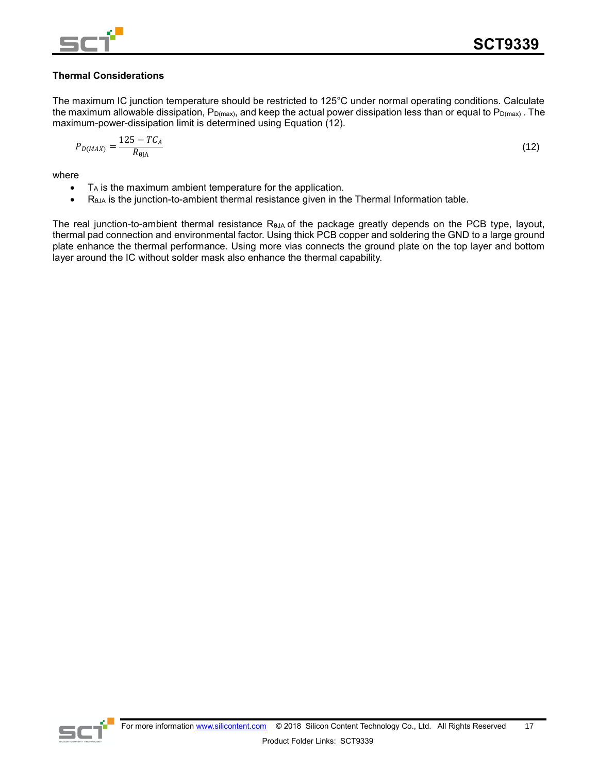

## **Thermal Considerations**

The maximum IC junction temperature should be restricted to 125°C under normal operating conditions. Calculate the maximum allowable dissipation,  $P_{D(max)}$ , and keep the actual power dissipation less than or equal to  $P_{D(max)}$ . The maximum-power-dissipation limit is determined using Equation (12).

$$
P_{D(MAX)} = \frac{125 - TC_A}{R_{\theta JA}}
$$
(12)

where

- T<sup>A</sup> is the maximum ambient temperature for the application.
- $\bullet$  R<sub>θJA</sub> is the junction-to-ambient thermal resistance given in the Thermal Information table.

The real junction-to-ambient thermal resistance RθJA of the package greatly depends on the PCB type, layout, thermal pad connection and environmental factor. Using thick PCB copper and soldering the GND to a large ground plate enhance the thermal performance. Using more vias connects the ground plate on the top layer and bottom layer around the IC without solder mask also enhance the thermal capability.

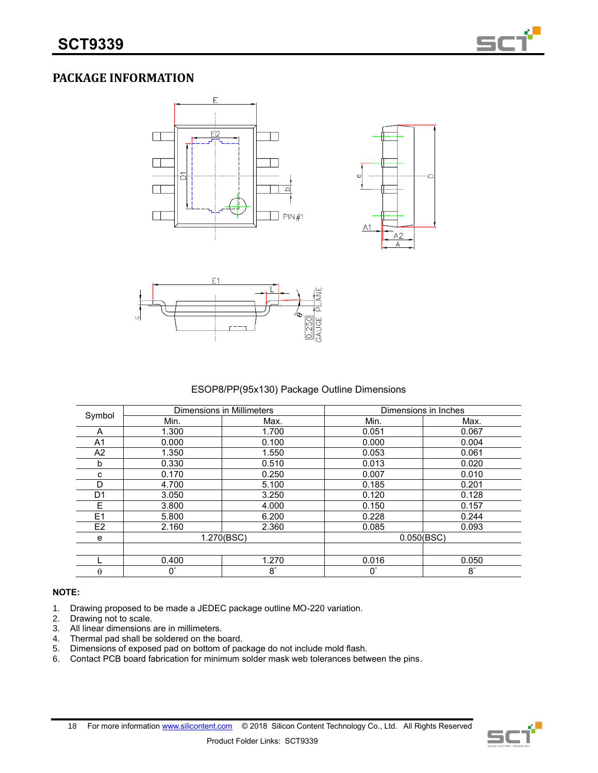

# **PACKAGE INFORMATION**







## ESOP8/PP(95x130) Package Outline Dimensions

|                |             | Dimensions in Millimeters | Dimensions in Inches |             |
|----------------|-------------|---------------------------|----------------------|-------------|
| Symbol         | Min.        | Max.                      | Min.                 | Max.        |
| A              | 1.300       | 1.700                     | 0.051                | 0.067       |
| A <sub>1</sub> | 0.000       | 0.100                     | 0.000                | 0.004       |
| A2             | 1.350       | 1.550                     | 0.053                | 0.061       |
| b              | 0.330       | 0.510                     | 0.013                | 0.020       |
| c              | 0.170       | 0.250                     | 0.007                | 0.010       |
| D              | 4.700       | 5.100                     | 0.185                | 0.201       |
| D1             | 3.050       | 3.250                     | 0.120                | 0.128       |
| E              | 3.800       | 4.000                     | 0.150                | 0.157       |
| E1             | 5.800       | 6.200                     | 0.228                | 0.244       |
| E <sub>2</sub> | 2.160       | 2.360                     | 0.085                | 0.093       |
| е              | 1.270(BSC)  |                           | 0.050(BSC)           |             |
|                |             |                           |                      |             |
|                | 0.400       | 1.270                     | 0.016                | 0.050       |
| $\theta$       | $0^{\circ}$ | $8^\circ$                 | $0^{\circ}$          | $8^{\circ}$ |

#### **NOTE:**

- 1. Drawing proposed to be made a JEDEC package outline MO-220 variation.
- 2. Drawing not to scale.
- 3. All linear dimensions are in millimeters.
- 4. Thermal pad shall be soldered on the board.<br>5. Dimensions of exposed pad on bottom of pos
- 5. Dimensions of exposed pad on bottom of package do not include mold flash.
- 6. Contact PCB board fabrication for minimum solder mask web tolerances between the pins.